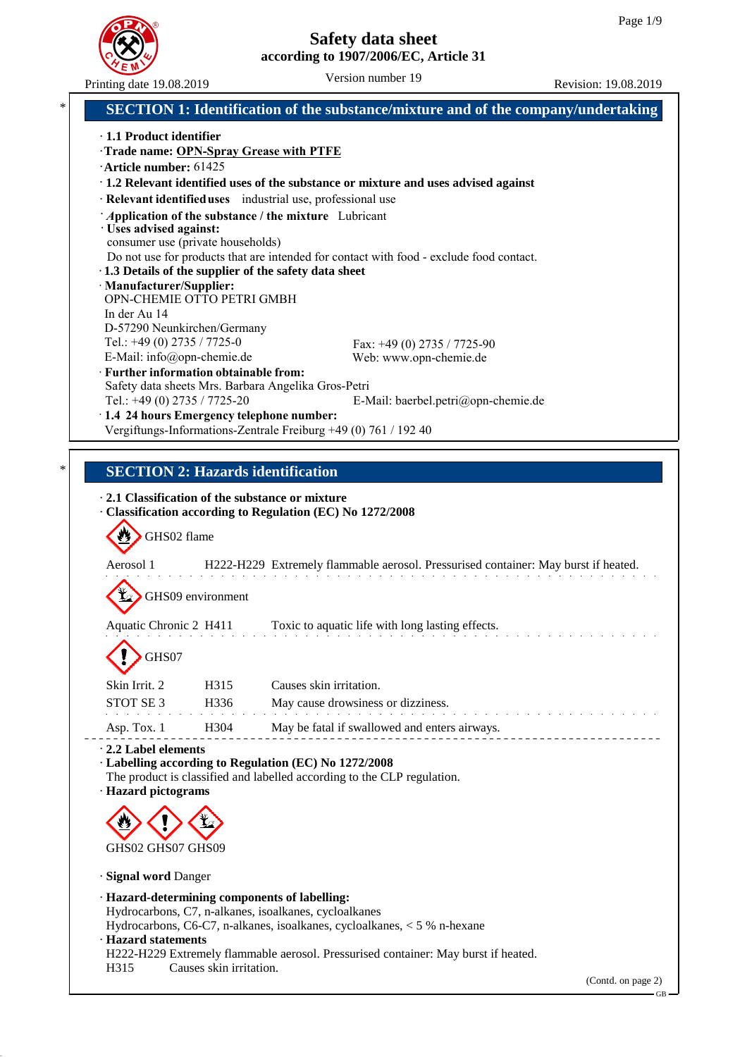

|                                                                                                                                                                               | $\sim$<br>Printing date 19.08.2019                                                                                   | Version number 19                                                                        | Revision: 19.08.2019 |
|-------------------------------------------------------------------------------------------------------------------------------------------------------------------------------|----------------------------------------------------------------------------------------------------------------------|------------------------------------------------------------------------------------------|----------------------|
| *                                                                                                                                                                             |                                                                                                                      | <b>SECTION 1: Identification of the substance/mixture and of the company/undertaking</b> |                      |
|                                                                                                                                                                               | $\cdot$ 1.1 Product identifier<br>Trade name: OPN-Spray Grease with PTFE<br>·Article number: 61425                   |                                                                                          |                      |
|                                                                                                                                                                               |                                                                                                                      | · 1.2 Relevant identified uses of the substance or mixture and uses advised against      |                      |
|                                                                                                                                                                               | · Relevant identified uses industrial use, professional use                                                          |                                                                                          |                      |
|                                                                                                                                                                               | Application of the substance / the mixture Lubricant<br>· Uses advised against:<br>consumer use (private households) |                                                                                          |                      |
|                                                                                                                                                                               | · 1.3 Details of the supplier of the safety data sheet                                                               | Do not use for products that are intended for contact with food - exclude food contact.  |                      |
|                                                                                                                                                                               | · Manufacturer/Supplier:<br>OPN-CHEMIE OTTO PETRI GMBH                                                               |                                                                                          |                      |
|                                                                                                                                                                               | In der Au 14                                                                                                         |                                                                                          |                      |
|                                                                                                                                                                               | D-57290 Neunkirchen/Germany<br>Tel.: $+49(0)$ 2735 / 7725-0                                                          | Fax: $+49(0)$ 2735 / 7725-90                                                             |                      |
|                                                                                                                                                                               | E-Mail: info@opn-chemie.de                                                                                           | Web: www.opn-chemie.de                                                                   |                      |
|                                                                                                                                                                               | · Further information obtainable from:<br>Safety data sheets Mrs. Barbara Angelika Gros-Petri                        |                                                                                          |                      |
|                                                                                                                                                                               | Tel.: +49 (0) 2735 / 7725-20                                                                                         | E-Mail: baerbel.petri@opn-chemie.de                                                      |                      |
|                                                                                                                                                                               | 1.4 24 hours Emergency telephone number:<br>Vergiftungs-Informations-Zentrale Freiburg +49 (0) 761 / 192 40          |                                                                                          |                      |
|                                                                                                                                                                               |                                                                                                                      |                                                                                          |                      |
| *                                                                                                                                                                             | <b>SECTION 2: Hazards identification</b>                                                                             |                                                                                          |                      |
|                                                                                                                                                                               | 2.1 Classification of the substance or mixture                                                                       |                                                                                          |                      |
|                                                                                                                                                                               | · Classification according to Regulation (EC) No 1272/2008                                                           |                                                                                          |                      |
|                                                                                                                                                                               | GHS02 flame                                                                                                          |                                                                                          |                      |
| Aerosol 1<br>H222-H229 Extremely flammable aerosol. Pressurised container: May burst if heated.                                                                               |                                                                                                                      |                                                                                          |                      |
|                                                                                                                                                                               | GHS09 environment                                                                                                    |                                                                                          |                      |
|                                                                                                                                                                               | Aquatic Chronic 2 H411                                                                                               | Toxic to aquatic life with long lasting effects.                                         |                      |
|                                                                                                                                                                               | GHS07                                                                                                                |                                                                                          |                      |
|                                                                                                                                                                               | Skin Irrit. 2<br>H315                                                                                                | Causes skin irritation.                                                                  |                      |
|                                                                                                                                                                               | STOT SE <sub>3</sub><br>H336                                                                                         | May cause drowsiness or dizziness.                                                       |                      |
|                                                                                                                                                                               | H304<br>Asp. Tox. 1                                                                                                  | May be fatal if swallowed and enters airways.                                            |                      |
| 2.2 Label elements<br>· Labelling according to Regulation (EC) No 1272/2008<br>The product is classified and labelled according to the CLP regulation.<br>· Hazard pictograms |                                                                                                                      |                                                                                          |                      |
|                                                                                                                                                                               |                                                                                                                      |                                                                                          |                      |
|                                                                                                                                                                               | GHS02 GHS07 GHS09                                                                                                    |                                                                                          |                      |
|                                                                                                                                                                               | · Signal word Danger                                                                                                 |                                                                                          |                      |
|                                                                                                                                                                               | · Hazard-determining components of labelling:<br>Hydrocarbons, C7, n-alkanes, isoalkanes, cycloalkanes               | Hydrocarbons, C6-C7, n-alkanes, isoalkanes, cycloalkanes, < 5 % n-hexane                 |                      |
|                                                                                                                                                                               | · Hazard statements                                                                                                  | H222-H229 Extremely flammable aerosol. Pressurised container: May burst if heated.       |                      |
|                                                                                                                                                                               | H315<br>Causes skin irritation.                                                                                      |                                                                                          | (Contd. on page 2)   |
|                                                                                                                                                                               |                                                                                                                      |                                                                                          | GB                   |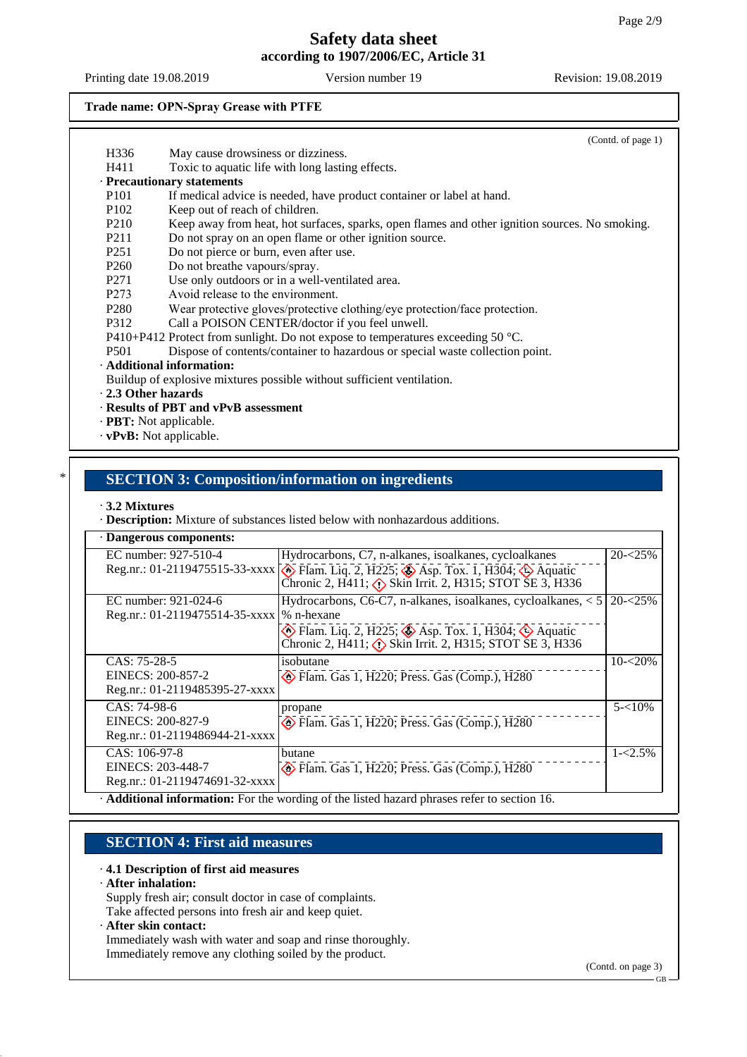Printing date 19.08.2019 Version number 19 Revision: 19.08.2019

## **Trade name: OPN-Spray Grease with PTFE**

|                               |                                                                                                | (Contd. of page 1) |
|-------------------------------|------------------------------------------------------------------------------------------------|--------------------|
| H336                          | May cause drowsiness or dizziness.                                                             |                    |
| H411                          | Toxic to aquatic life with long lasting effects.                                               |                    |
|                               | · Precautionary statements                                                                     |                    |
| P <sub>101</sub>              | If medical advice is needed, have product container or label at hand.                          |                    |
| P <sub>102</sub>              | Keep out of reach of children.                                                                 |                    |
| P <sub>2</sub> 10             | Keep away from heat, hot surfaces, sparks, open flames and other ignition sources. No smoking. |                    |
| P <sub>211</sub>              | Do not spray on an open flame or other ignition source.                                        |                    |
| P <sub>251</sub>              | Do not pierce or burn, even after use.                                                         |                    |
| P <sub>260</sub>              | Do not breathe vapours/spray.                                                                  |                    |
| P <sub>271</sub>              | Use only outdoors or in a well-ventilated area.                                                |                    |
| P273                          | Avoid release to the environment.                                                              |                    |
| P <sub>280</sub>              | Wear protective gloves/protective clothing/eye protection/face protection.                     |                    |
| P312                          | Call a POISON CENTER/doctor if you feel unwell.                                                |                    |
|                               | P410+P412 Protect from sunlight. Do not expose to temperatures exceeding 50 $^{\circ}$ C.      |                    |
| P <sub>501</sub>              | Dispose of contents/container to hazardous or special waste collection point.                  |                    |
|                               | · Additional information:                                                                      |                    |
|                               | Buildup of explosive mixtures possible without sufficient ventilation.                         |                    |
| . 2.3 Other hazards           |                                                                                                |                    |
|                               | · Results of PBT and vPvB assessment                                                           |                    |
| · <b>PBT:</b> Not applicable. |                                                                                                |                    |
| · vPvB: Not applicable.       |                                                                                                |                    |
|                               |                                                                                                |                    |
|                               |                                                                                                |                    |
|                               | <b>SECTION 3: Composition/information on ingredients</b>                                       |                    |

#### · **3.2 Mixtures**

· **Description:** Mixture of substances listed below with nonhazardous additions.

| · Dangerous components:        |                                                                                                                                                                                   |             |
|--------------------------------|-----------------------------------------------------------------------------------------------------------------------------------------------------------------------------------|-------------|
| EC number: 927-510-4           | Hydrocarbons, C7, n-alkanes, isoalkanes, cycloalkanes                                                                                                                             | $20 - 25%$  |
|                                | Reg.nr.: 01-2119475515-33-xxxx <b>&amp;</b> Flam. Liq. 2, H225; <b>&amp;</b> Asp. Tox. 1, H304; <b>&amp;</b> Aquatic<br>Chronic 2, H411; (1) Skin Irrit. 2, H315; STOT SE 3, H336 |             |
| EC number: 921-024-6           | Hydrocarbons, $C6-C7$ , n-alkanes, isoalkanes, cycloalkanes, $< 5$                                                                                                                | $20 - 25\%$ |
| Reg.nr.: 01-2119475514-35-xxxx | $\frac{1}{6}$ n-hexane                                                                                                                                                            |             |
|                                | $\circledast$ Flam. Liq. 2, H225; $\circledast$ Asp. Tox. 1, H304; $\circledast$ Aquatic<br>Chronic 2, H411; $\Diamond$ Skin Irrit. 2, H315; STOT SE 3, H336                      |             |
| CAS: 75-28-5                   | isobutane                                                                                                                                                                         | $10 - 20%$  |
| EINECS: 200-857-2              | $\diamond$ Flam. Gas 1, H220; Press. Gas (Comp.), H280                                                                                                                            |             |
| Reg.nr.: 01-2119485395-27-xxxx |                                                                                                                                                                                   |             |
| CAS: 74-98-6                   | propane                                                                                                                                                                           | $5 - 10\%$  |
| EINECS: 200-827-9              | Flam. Gas 1, H220; Press. Gas (Comp.), H280                                                                                                                                       |             |
| Reg.nr.: 01-2119486944-21-xxxx |                                                                                                                                                                                   |             |
| CAS: 106-97-8                  | butane                                                                                                                                                                            | $1 - 2.5\%$ |
| EINECS: 203-448-7              | Flam. Gas 1, H220; Press. Gas (Comp.), H280                                                                                                                                       |             |
| Reg.nr.: 01-2119474691-32-xxxx |                                                                                                                                                                                   |             |
|                                | Additional information: For the wording of the listed hazard phrases refer to section 16.                                                                                         |             |

## **SECTION 4: First aid measures**

#### · **4.1 Description of first aid measures**

#### · **After inhalation:**

Supply fresh air; consult doctor in case of complaints. Take affected persons into fresh air and keep quiet.

#### · **After skin contact:**

Immediately wash with water and soap and rinse thoroughly. Immediately remove any clothing soiled by the product.

(Contd. on page 3)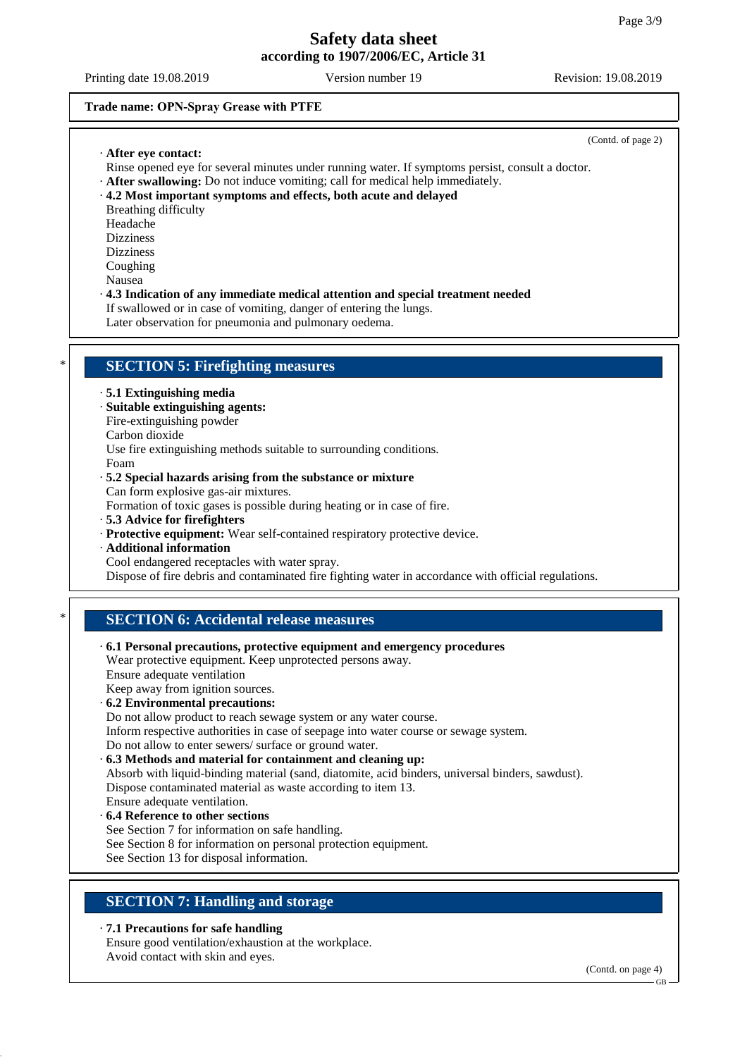(Contd. of page 2)

#### **Trade name: OPN-Spray Grease with PTFE**

#### · **After eye contact:**

- Rinse opened eye for several minutes under running water. If symptoms persist, consult a doctor.
- · **After swallowing:** Do not induce vomiting; call for medical help immediately.
- · **4.2 Most important symptoms and effects, both acute and delayed**
- Breathing difficulty
- Headache Dizziness
- Dizziness
- Coughing
- Nausea
- · **4.3 Indication of any immediate medical attention and special treatment needed** If swallowed or in case of vomiting, danger of entering the lungs.

Later observation for pneumonia and pulmonary oedema.

## **SECTION 5: Firefighting measures**

- · **5.1 Extinguishing media**
- · **Suitable extinguishing agents:**
- Fire-extinguishing powder
- Carbon dioxide
- Use fire extinguishing methods suitable to surrounding conditions.
- Foam
- · **5.2 Special hazards arising from the substance or mixture**

Can form explosive gas-air mixtures.

- Formation of toxic gases is possible during heating or in case of fire.
- · **5.3 Advice for firefighters**
- · **Protective equipment:** Wear self-contained respiratory protective device.
- · **Additional information**
- Cool endangered receptacles with water spray.

Dispose of fire debris and contaminated fire fighting water in accordance with official regulations.

## **SECTION 6: Accidental release measures**

- · **6.1 Personal precautions, protective equipment and emergency procedures**
- Wear protective equipment. Keep unprotected persons away. Ensure adequate ventilation
- Keep away from ignition sources.
- · **6.2 Environmental precautions:**
- Do not allow product to reach sewage system or any water course.
- Inform respective authorities in case of seepage into water course or sewage system.
- Do not allow to enter sewers/ surface or ground water.
- · **6.3 Methods and material for containment and cleaning up:**
- Absorb with liquid-binding material (sand, diatomite, acid binders, universal binders, sawdust). Dispose contaminated material as waste according to item 13.
- Ensure adequate ventilation.
- · **6.4 Reference to other sections**
- See Section 7 for information on safe handling.
- See Section 8 for information on personal protection equipment.
- See Section 13 for disposal information.

# **SECTION 7: Handling and storage**

## · **7.1 Precautions for safe handling**

Ensure good ventilation/exhaustion at the workplace. Avoid contact with skin and eyes.

(Contd. on page 4)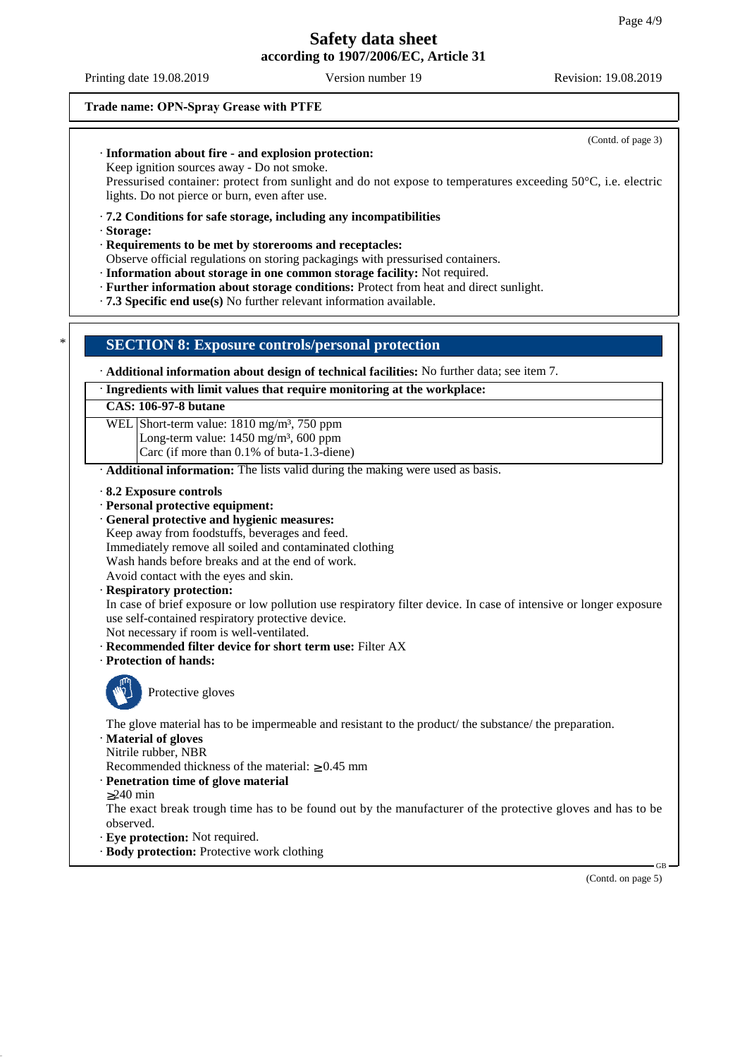(Contd. of page 3)

## **Trade name: OPN-Spray Grease with PTFE**

· **Information about fire - and explosion protection:**

## Keep ignition sources away - Do not smoke. Pressurised container: protect from sunlight and do not expose to temperatures exceeding 50°C, i.e. electric lights. Do not pierce or burn, even after use. · **7.2 Conditions for safe storage, including any incompatibilities** · **Storage:** · **Requirements to be met by storerooms and receptacles:** Observe official regulations on storing packagings with pressurised containers. · **Information about storage in one common storage facility:** Not required. · **Further information about storage conditions:** Protect from heat and direct sunlight. · **7.3 Specific end use(s)** No further relevant information available. \* **SECTION 8: Exposure controls/personal protection** · **Additional information about design of technical facilities:** No further data; see item 7. · **Ingredients with limit values that require monitoring at the workplace: CAS: 106-97-8 butane** WEL Short-term value: 1810 mg/m<sup>3</sup>, 750 ppm Long-term value:  $1450$  mg/m<sup>3</sup>,  $600$  ppm Carc (if more than 0.1% of buta-1.3-diene) · **Additional information:** The lists valid during the making were used as basis. · **8.2 Exposure controls** · **Personal protective equipment:** · **General protective and hygienic measures:** Keep away from foodstuffs, beverages and feed. Immediately remove all soiled and contaminated clothing Wash hands before breaks and at the end of work. Avoid contact with the eyes and skin. · **Respiratory protection:** In case of brief exposure or low pollution use respiratory filter device. In case of intensive or longer exposure use self-contained respiratory protective device. Not necessary if room is well-ventilated. · **Recommended filter device for short term use:** Filter AX · **Protection of hands:** Protective gloves The glove material has to be impermeable and resistant to the product/ the substance/ the preparation. · **Material of gloves** Nitrile rubber, NBR Recommended thickness of the material: ≥ 0.45 mm · **Penetration time of glove material** ≥240 min The exact break trough time has to be found out by the manufacturer of the protective gloves and has to be observed. · **Eye protection:** Not required.

· **Body protection:** Protective work clothing

(Contd. on page 5)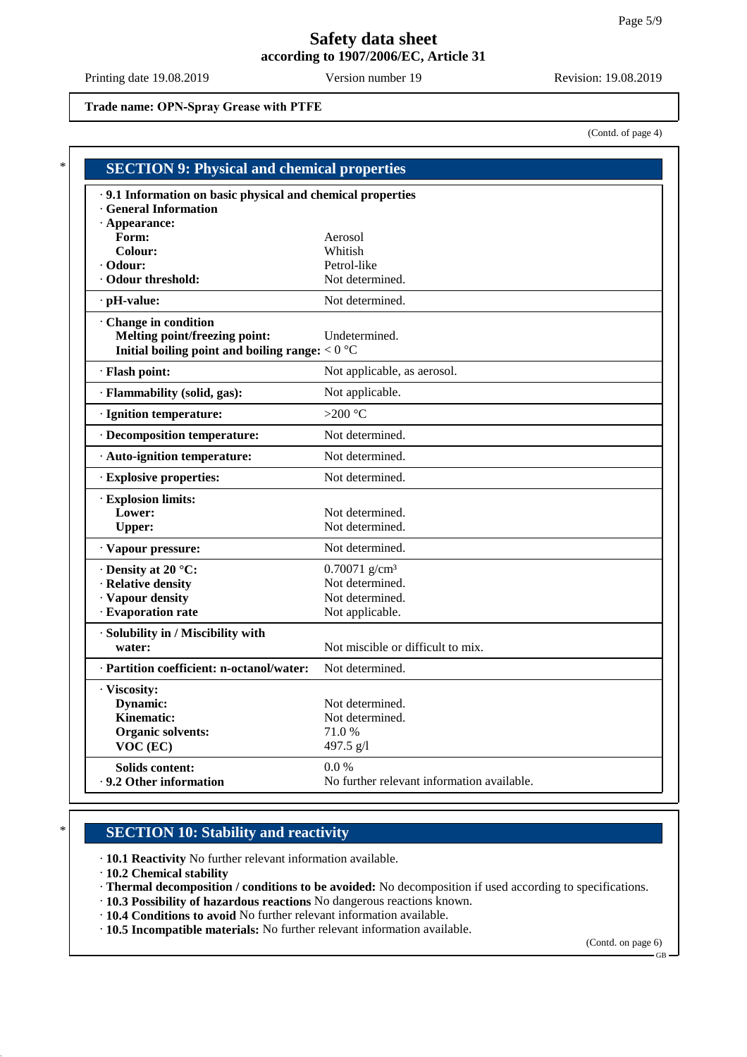**Trade name: OPN-Spray Grease with PTFE**

(Contd. of page 4)

| .9.1 Information on basic physical and chemical properties |                                            |  |
|------------------------------------------------------------|--------------------------------------------|--|
| <b>General Information</b>                                 |                                            |  |
| · Appearance:                                              |                                            |  |
| Form:                                                      | Aerosol                                    |  |
| Colour:                                                    | Whitish                                    |  |
| · Odour:                                                   | Petrol-like                                |  |
| · Odour threshold:                                         | Not determined.                            |  |
| $\cdot$ pH-value:                                          | Not determined.                            |  |
| · Change in condition                                      |                                            |  |
| Melting point/freezing point:                              | Undetermined.                              |  |
| Initial boiling point and boiling range: $< 0$ °C          |                                            |  |
| · Flash point:                                             | Not applicable, as aerosol.                |  |
| · Flammability (solid, gas):                               | Not applicable.                            |  |
| · Ignition temperature:                                    | >200 $\degree$ C                           |  |
| · Decomposition temperature:                               | Not determined.                            |  |
| · Auto-ignition temperature:                               | Not determined.                            |  |
| · Explosive properties:                                    | Not determined.                            |  |
| · Explosion limits:                                        |                                            |  |
| Lower:                                                     | Not determined.                            |  |
| <b>Upper:</b>                                              | Not determined.                            |  |
| · Vapour pressure:                                         | Not determined.                            |  |
| · Density at 20 °C:                                        | $0.70071$ g/cm <sup>3</sup>                |  |
| · Relative density                                         | Not determined.                            |  |
| · Vapour density                                           | Not determined.                            |  |
| · Evaporation rate                                         | Not applicable.                            |  |
| · Solubility in / Miscibility with                         |                                            |  |
| water:                                                     | Not miscible or difficult to mix.          |  |
| · Partition coefficient: n-octanol/water:                  | Not determined.                            |  |
| · Viscosity:                                               |                                            |  |
| Dynamic:                                                   | Not determined.                            |  |
| Kinematic:                                                 | Not determined.                            |  |
| <b>Organic solvents:</b>                                   | 71.0 %                                     |  |
| VOC (EC)                                                   | 497.5 $g/l$                                |  |
| Solids content:                                            | $0.0\%$                                    |  |
| ⋅ 9.2 Other information                                    | No further relevant information available. |  |

# **SECTION 10: Stability and reactivity**

· **10.1 Reactivity** No further relevant information available.

· **10.2 Chemical stability**

· **Thermal decomposition / conditions to be avoided:** No decomposition if used according to specifications.

- · **10.3 Possibility of hazardous reactions** No dangerous reactions known.
- · **10.4 Conditions to avoid** No further relevant information available.
- · **10.5 Incompatible materials:** No further relevant information available.

(Contd. on page 6)

GB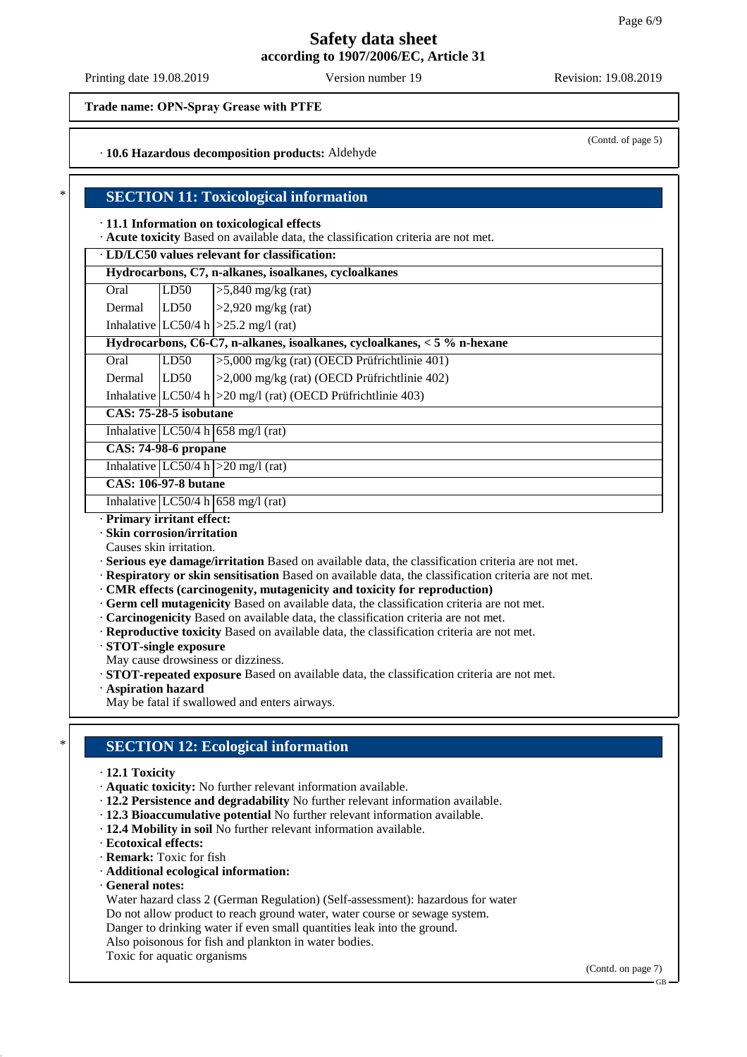Printing date 19.08.2019 Version number 19 Revision: 19.08.2019

(Contd. of page 5)

## **Trade name: OPN-Spray Grease with PTFE**

#### · **10.6 Hazardous decomposition products:** Aldehyde

### **SECTION 11: Toxicological information**

#### · **11.1 Information on toxicological effects**

· **Acute toxicity** Based on available data, the classification criteria are not met.

## · **LD/LC50 values relevant for classification:**

**Hydrocarbons, C7, n-alkanes, isoalkanes, cycloalkanes** Oral  $LD50$   $>>$ 5,840 mg/kg (rat)

|               | $\sqrt{2}$               |
|---------------|--------------------------|
| Dermal   LD50 | $\geq$ 2,920 mg/kg (rat) |

Inhalative  $|LC50/4 h| > 25.2$  mg/l (rat)

|  | Hydrocarbons, C6-C7, n-alkanes, isoalkanes, cycloalkanes, < 5 % n-hexane |
|--|--------------------------------------------------------------------------|
|  | $0.1$ II DE $0.1$ , E $0.00$ and $1.6$ (OECD D $20.14$ ), $1.401$        |

| Oral          | TLD50 | $\geq$ 5,000 mg/kg (rat) (OECD Prufrichtlinie 401) |
|---------------|-------|----------------------------------------------------|
| Dermal   LD50 |       | $ >2,000$ mg/kg (rat) (OECD Prüfrichtlinie 402)    |

Inhalative  $|LC50/4 h| > 20$  mg/l (rat) (OECD Prüfrichtlinie 403)

**CAS: 75-28-5 isobutane**

Inhalative  $|LC50/4 h|$  658 mg/l (rat)

## **CAS: 74-98-6 propane**

Inhalative  $|LC50/4 h| > 20$  mg/l (rat)

#### **CAS: 106-97-8 butane**

Inhalative  $LC50/4$  h 658 mg/l (rat)

#### · **Primary irritant effect:**

- · **Skin corrosion/irritation**
- Causes skin irritation.

· **Serious eye damage/irritation** Based on available data, the classification criteria are not met.

- · **Respiratory or skin sensitisation** Based on available data, the classification criteria are not met.
- · **CMR effects (carcinogenity, mutagenicity and toxicity for reproduction)**
- · **Germ cell mutagenicity** Based on available data, the classification criteria are not met.
- · **Carcinogenicity** Based on available data, the classification criteria are not met.
- · **Reproductive toxicity** Based on available data, the classification criteria are not met.
- · **STOT-single exposure**
- May cause drowsiness or dizziness.
- · **STOT-repeated exposure** Based on available data, the classification criteria are not met.
- · **Aspiration hazard**
- May be fatal if swallowed and enters airways.

## **SECTION 12: Ecological information**

#### · **12.1 Toxicity**

- · **Aquatic toxicity:** No further relevant information available.
- · **12.2 Persistence and degradability** No further relevant information available.
- · **12.3 Bioaccumulative potential** No further relevant information available.
- · **12.4 Mobility in soil** No further relevant information available.
- · **Ecotoxical effects:**
- · **Remark:** Toxic for fish
- · **Additional ecological information:**
- · **General notes:**

Water hazard class 2 (German Regulation) (Self-assessment): hazardous for water

Do not allow product to reach ground water, water course or sewage system.

Danger to drinking water if even small quantities leak into the ground.

- Also poisonous for fish and plankton in water bodies.
- Toxic for aquatic organisms

(Contd. on page 7)

GB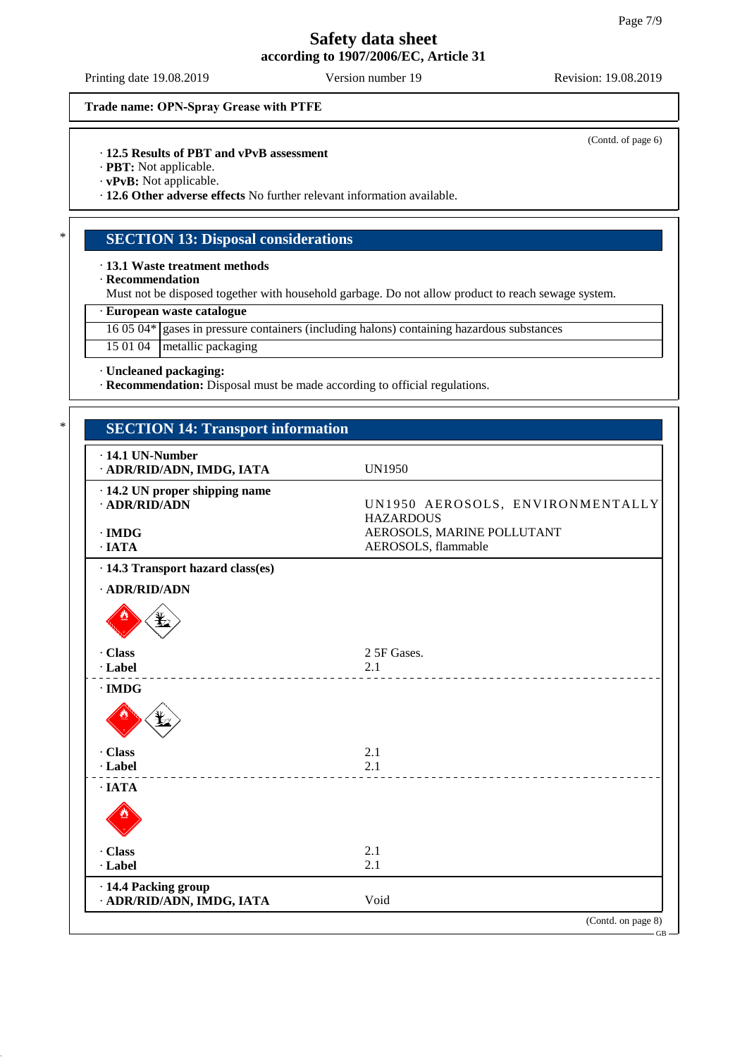Printing date 19.08.2019 Version number 19 Revision: 19.08.2019

(Contd. of page 6)

**Trade name: OPN-Spray Grease with PTFE**

· **12.5 Results of PBT and vPvB assessment**

· **PBT:** Not applicable.

· **vPvB:** Not applicable.

· **12.6 Other adverse effects** No further relevant information available.

## **SECTION 13: Disposal considerations**

· **13.1 Waste treatment methods**

· **Recommendation**

Must not be disposed together with household garbage. Do not allow product to reach sewage system.

#### · **European waste catalogue**

16 05 04\* gases in pressure containers (including halons) containing hazardous substances

#### 15 01 04 metallic packaging

· **Uncleaned packaging:**

· **Recommendation:** Disposal must be made according to official regulations.

| $\cdot$ 14.1 UN-Number<br>· ADR/RID/ADN, IMDG, IATA   | <b>UN1950</b>                                        |
|-------------------------------------------------------|------------------------------------------------------|
| $\cdot$ 14.2 UN proper shipping name<br>· ADR/RID/ADN | UN1950 AEROSOLS, ENVIRONMENTALLY<br><b>HAZARDOUS</b> |
| $\cdot$ IMDG                                          | AEROSOLS, MARINE POLLUTANT                           |
| $\cdot$ IATA                                          | AEROSOLS, flammable                                  |
| $\cdot$ 14.3 Transport hazard class(es)               |                                                      |
| · ADR/RID/ADN                                         |                                                      |
|                                                       |                                                      |
| · Class                                               | 2 5F Gases.                                          |
| · Label                                               | 2.1                                                  |
| $\cdot$ IMDG                                          |                                                      |
|                                                       |                                                      |
| · Class                                               | 2.1                                                  |
| · Label                                               | 2.1                                                  |
| $\cdot$ IATA                                          |                                                      |
|                                                       |                                                      |
| · Class                                               | 2.1                                                  |
| · Label                                               | 2.1                                                  |
| · 14.4 Packing group                                  |                                                      |
| · ADR/RID/ADN, IMDG, IATA                             | Void                                                 |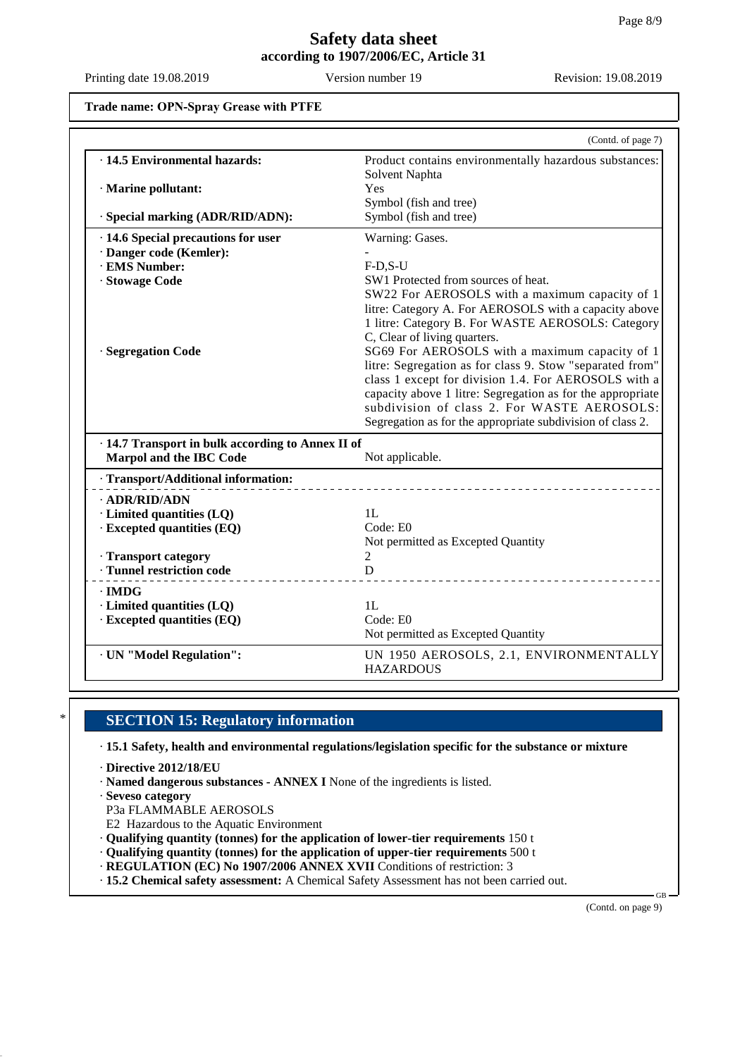**Trade name: OPN-Spray Grease with PTFE**

|                                                   | (Contd. of page 7)                                                                                        |
|---------------------------------------------------|-----------------------------------------------------------------------------------------------------------|
| · 14.5 Environmental hazards:                     | Product contains environmentally hazardous substances:<br>Solvent Naphta                                  |
| · Marine pollutant:                               | Yes                                                                                                       |
|                                                   | Symbol (fish and tree)                                                                                    |
| · Special marking (ADR/RID/ADN):                  | Symbol (fish and tree)                                                                                    |
| · 14.6 Special precautions for user               | Warning: Gases.                                                                                           |
| · Danger code (Kemler):                           |                                                                                                           |
| · EMS Number:                                     | $F-D.S-U$                                                                                                 |
| · Stowage Code                                    | SW1 Protected from sources of heat.                                                                       |
|                                                   | SW22 For AEROSOLS with a maximum capacity of 1                                                            |
|                                                   | litre: Category A. For AEROSOLS with a capacity above                                                     |
|                                                   | 1 litre: Category B. For WASTE AEROSOLS: Category                                                         |
|                                                   | C, Clear of living quarters.                                                                              |
| · Segregation Code                                | SG69 For AEROSOLS with a maximum capacity of 1                                                            |
|                                                   | litre: Segregation as for class 9. Stow "separated from"                                                  |
|                                                   | class 1 except for division 1.4. For AEROSOLS with a                                                      |
|                                                   | capacity above 1 litre: Segregation as for the appropriate<br>subdivision of class 2. For WASTE AEROSOLS: |
|                                                   | Segregation as for the appropriate subdivision of class 2.                                                |
| · 14.7 Transport in bulk according to Annex II of |                                                                                                           |
| Marpol and the IBC Code                           | Not applicable.                                                                                           |
| · Transport/Additional information:               |                                                                                                           |
|                                                   |                                                                                                           |
| · ADR/RID/ADN<br>· Limited quantities (LQ)        | 1L                                                                                                        |
| · Excepted quantities (EQ)                        | Code: E0                                                                                                  |
|                                                   | Not permitted as Excepted Quantity                                                                        |
| · Transport category                              | 2                                                                                                         |
| · Tunnel restriction code                         | D                                                                                                         |
| $\cdot$ IMDG                                      |                                                                                                           |
| · Limited quantities (LQ)                         | 1L                                                                                                        |
| · Excepted quantities (EQ)                        | Code: E0                                                                                                  |
|                                                   | Not permitted as Excepted Quantity                                                                        |
| · UN "Model Regulation":                          | UN 1950 AEROSOLS, 2.1, ENVIRONMENTALLY                                                                    |
|                                                   |                                                                                                           |

## **SECTION 15: Regulatory information**

· **15.1 Safety, health and environmental regulations/legislation specific for the substance or mixture**

- · **Directive 2012/18/EU**
- · **Named dangerous substances ANNEX I** None of the ingredients is listed.
- · **Seveso category**
- P3a FLAMMABLE AEROSOLS
- E2 Hazardous to the Aquatic Environment
- · **Qualifying quantity (tonnes) for the application of lower-tier requirements** 150 t
- · **Qualifying quantity (tonnes) for the application of upper-tier requirements** 500 t
- · **REGULATION (EC) No 1907/2006 ANNEX XVII** Conditions of restriction: 3
- · **15.2 Chemical safety assessment:** A Chemical Safety Assessment has not been carried out.

(Contd. on page 9)